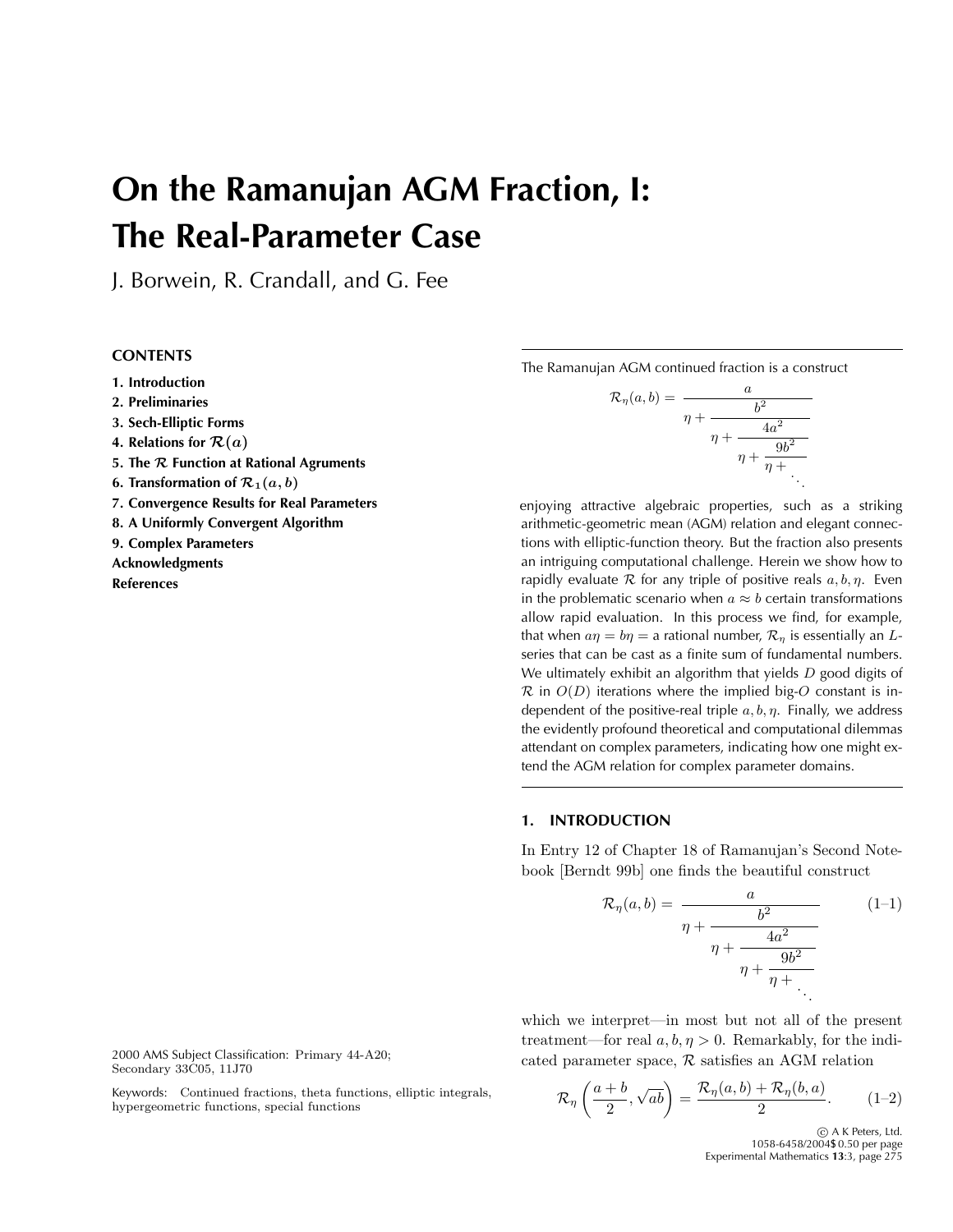# **On the Ramanujan AGM Fraction, I: The Real-Parameter Case**

J. Borwein, R. Crandall, and G. Fee

# **CONTENTS**

**1. Introduction**

- **2. Preliminaries**
- **3. Sech-Elliptic Forms**
- **4. Relations for**  $\mathcal{R}(a)$
- **5. The** *R* **Function at Rational Agruments**
- **6. Transformation of**  $\mathcal{R}_1(a, b)$
- **7. Convergence Results for Real Parameters**
- **8. A Uniformly Convergent Algorithm**

**9. Complex Parameters**

**Acknowledgments References**

2000 AMS Subject Classification: Primary 44-A20; Secondary 33C05, 11J70

Keywords: Continued fractions, theta functions, elliptic integrals, hypergeometric functions, special functions

The Ramanujan AGM continued fraction is a construct

$$
\mathcal{R}_{\eta}(a,b) = \frac{a}{\eta + \frac{b^2}{\eta + \frac{4a^2}{\eta + \frac{9b^2}{\eta + \ddots}}}}.
$$

enjoying attractive algebraic properties, such as a striking arithmetic-geometric mean (AGM) relation and elegant connections with elliptic-function theory. But the fraction also presents an intriguing computational challenge. Herein we show how to rapidly evaluate  $R$  for any triple of positive reals  $a, b, \eta$ . Even in the problematic scenario when  $a \approx b$  certain transformations allow rapid evaluation. In this process we find, for example, that when  $a\eta = b\eta = a$  rational number,  $\mathcal{R}_n$  is essentially an Lseries that can be cast as a finite sum of fundamental numbers. We ultimately exhibit an algorithm that yields  $D$  good digits of  $\mathcal R$  in  $O(D)$  iterations where the implied big-O constant is independent of the positive-real triple  $a, b, \eta$ . Finally, we address the evidently profound theoretical and computational dilemmas attendant on complex parameters, indicating how one might extend the AGM relation for complex parameter domains.

## **1. INTRODUCTION**

In Entry 12 of Chapter 18 of Ramanujan's Second Notebook [Berndt 99b] one finds the beautiful construct

$$
\mathcal{R}_{\eta}(a,b) = \frac{a}{\eta + \frac{b^2}{\eta + \frac{4a^2}{\eta + \frac{9b^2}{\eta + \ddots}}}} \qquad (1-1)
$$

which we interpret—in most but not all of the present treatment—for real  $a, b, \eta > 0$ . Remarkably, for the indicated parameter space,  $R$  satisfies an AGM relation

$$
\mathcal{R}_{\eta}\left(\frac{a+b}{2},\sqrt{ab}\right) = \frac{\mathcal{R}_{\eta}(a,b) + \mathcal{R}_{\eta}(b,a)}{2}.
$$
 (1-2)

<sup>c</sup> A K Peters, Ltd. 1058-6458/2004\$ 0.50 per page Experimental Mathematics **13**:3, page 275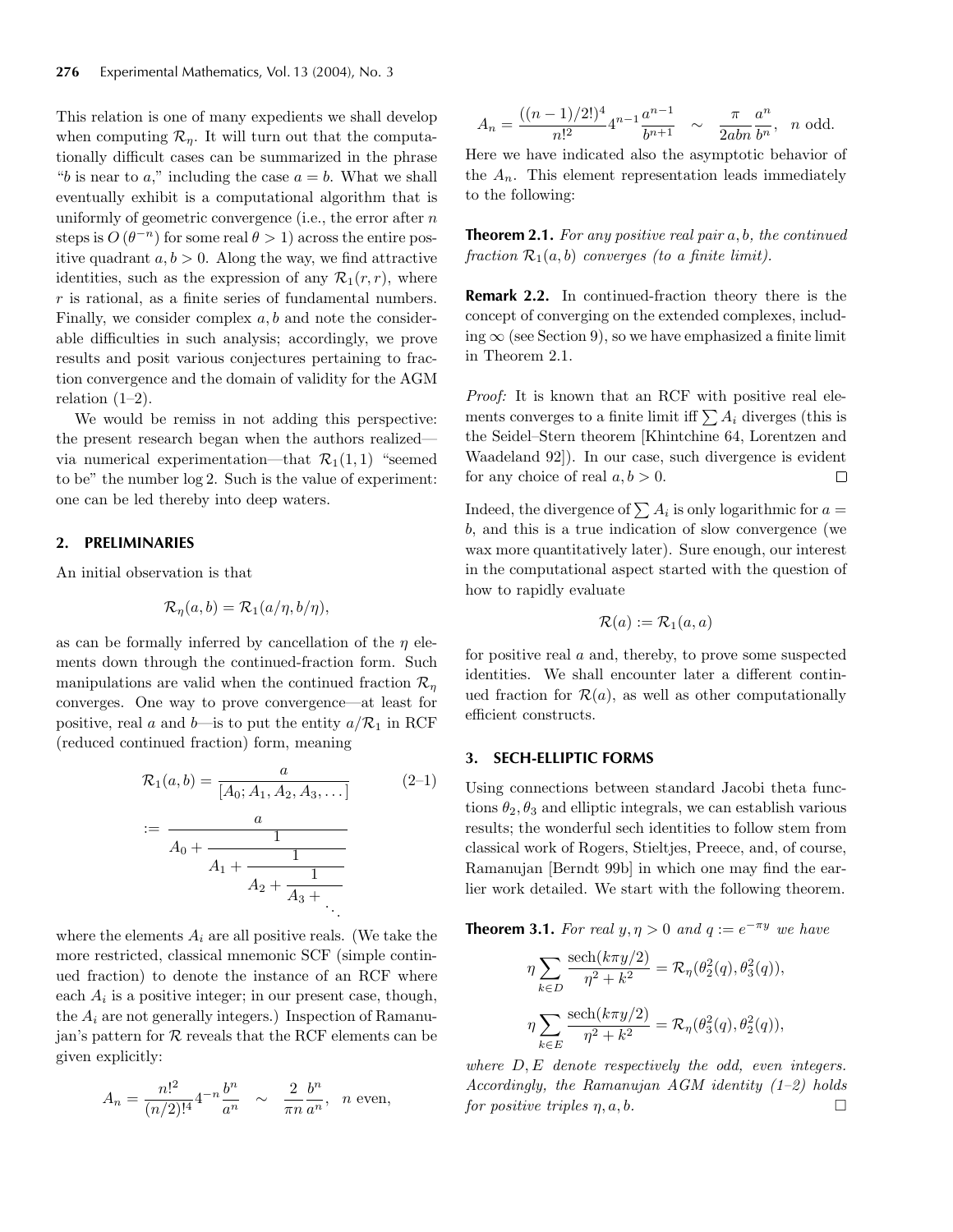This relation is one of many expedients we shall develop when computing  $\mathcal{R}_n$ . It will turn out that the computationally difficult cases can be summarized in the phrase "b is near to a," including the case  $a = b$ . What we shall eventually exhibit is a computational algorithm that is uniformly of geometric convergence (i.e., the error after  $n$ steps is  $O(\theta^{-n})$  for some real  $\theta > 1$ ) across the entire positive quadrant  $a, b > 0$ . Along the way, we find attractive identities, such as the expression of any  $\mathcal{R}_1(r,r)$ , where  $r$  is rational, as a finite series of fundamental numbers. Finally, we consider complex  $a, b$  and note the considerable difficulties in such analysis; accordingly, we prove results and posit various conjectures pertaining to fraction convergence and the domain of validity for the AGM relation  $(1-2)$ .

We would be remiss in not adding this perspective: the present research began when the authors realized via numerical experimentation—that  $\mathcal{R}_1(1,1)$  "seemed to be" the number log 2. Such is the value of experiment: one can be led thereby into deep waters.

#### **2. PRELIMINARIES**

An initial observation is that

$$
\mathcal{R}_{\eta}(a,b) = \mathcal{R}_{1}(a/\eta,b/\eta),
$$

as can be formally inferred by cancellation of the  $\eta$  elements down through the continued-fraction form. Such manipulations are valid when the continued fraction  $\mathcal{R}_n$ converges. One way to prove convergence—at least for positive, real a and b—is to put the entity  $a/R_1$  in RCF (reduced continued fraction) form, meaning

$$
\mathcal{R}_1(a,b) = \frac{a}{[A_0; A_1, A_2, A_3, \dots]}
$$
\n
$$
:= \frac{a}{A_0 + \frac{1}{A_1 + \frac{1}{A_2 + \frac{1}{A_3 + \dots}}}}
$$
\n(2-1)

where the elements  $A_i$  are all positive reals. (We take the more restricted, classical mnemonic SCF (simple continued fraction) to denote the instance of an RCF where each  $A_i$  is a positive integer; in our present case, though, the  $A_i$  are not generally integers.) Inspection of Ramanujan's pattern for  $R$  reveals that the RCF elements can be given explicitly:

$$
A_n = \frac{n!^2}{(n/2)!^4} 4^{-n} \frac{b^n}{a^n} \sim \frac{2}{\pi n} \frac{b^n}{a^n}, \quad n \text{ even},
$$

$$
A_n = \frac{((n-1)/2!)^4}{n!^2} 4^{n-1} \frac{a^{n-1}}{b^{n+1}} \sim \frac{\pi}{2abn} \frac{a^n}{b^n}, \quad n \text{ odd.}
$$

Here we have indicated also the asymptotic behavior of the  $A_n$ . This element representation leads immediately to the following:

**Theorem 2.1.** *For any positive real pair* a, b*, the continued fraction*  $\mathcal{R}_1(a, b)$  *converges (to a finite limit).* 

**Remark 2.2.** In continued-fraction theory there is the concept of converging on the extended complexes, including  $\infty$  (see Section 9), so we have emphasized a finite limit in Theorem 2.1.

*Proof:* It is known that an RCF with positive real elements converges to a finite limit iff  $\sum A_i$  diverges (this is the Seidel–Stern theorem [Khintchine 64, Lorentzen and Waadeland 92]). In our case, such divergence is evident for any choice of real  $a, b > 0$ .  $\Box$ 

Indeed, the divergence of  $\sum A_i$  is only logarithmic for  $a =$ b, and this is a true indication of slow convergence (we wax more quantitatively later). Sure enough, our interest in the computational aspect started with the question of how to rapidly evaluate

$$
\mathcal{R}(a) := \mathcal{R}_1(a, a)
$$

for positive real a and, thereby, to prove some suspected identities. We shall encounter later a different continued fraction for  $\mathcal{R}(a)$ , as well as other computationally efficient constructs.

#### **3. SECH-ELLIPTIC FORMS**

Using connections between standard Jacobi theta functions  $\theta_2, \theta_3$  and elliptic integrals, we can establish various results; the wonderful sech identities to follow stem from classical work of Rogers, Stieltjes, Preece, and, of course, Ramanujan [Berndt 99b] in which one may find the earlier work detailed. We start with the following theorem.

**Theorem 3.1.** *For real*  $y, \eta > 0$  *and*  $q := e^{-\pi y}$  *we have* 

$$
\eta \sum_{k \in D} \frac{\text{sech}(k\pi y/2)}{\eta^2 + k^2} = \mathcal{R}_{\eta}(\theta_2^2(q), \theta_3^2(q)),
$$
  

$$
\eta \sum_{k \in E} \frac{\text{sech}(k\pi y/2)}{\eta^2 + k^2} = \mathcal{R}_{\eta}(\theta_3^2(q), \theta_2^2(q)),
$$

*where* D, E *denote respectively the odd, even integers. Accordingly, the Ramanujan AGM identity (1–2) holds for positive triples*  $\eta$ ,  $a$ ,  $b$ .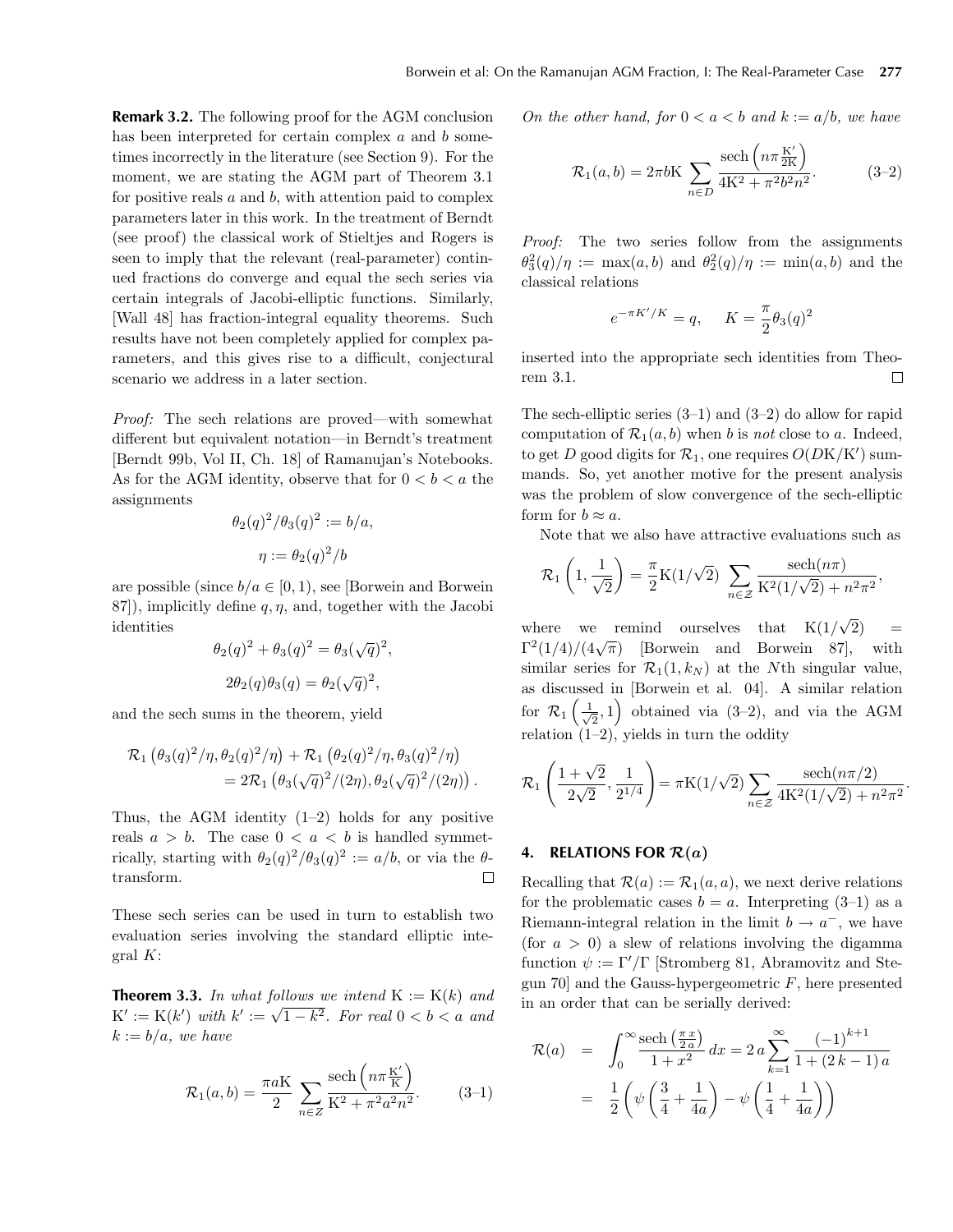**Remark 3.2.** The following proof for the AGM conclusion has been interpreted for certain complex  $a$  and  $b$  sometimes incorrectly in the literature (see Section 9). For the moment, we are stating the AGM part of Theorem 3.1 for positive reals  $a$  and  $b$ , with attention paid to complex parameters later in this work. In the treatment of Berndt (see proof) the classical work of Stieltjes and Rogers is seen to imply that the relevant (real-parameter) continued fractions do converge and equal the sech series via certain integrals of Jacobi-elliptic functions. Similarly, [Wall 48] has fraction-integral equality theorems. Such results have not been completely applied for complex parameters, and this gives rise to a difficult, conjectural scenario we address in a later section.

*Proof:* The sech relations are proved—with somewhat different but equivalent notation—in Berndt's treatment [Berndt 99b, Vol II, Ch. 18] of Ramanujan's Notebooks. As for the AGM identity, observe that for  $0 < b < a$  the assignments

$$
\theta_2(q)^2/\theta_3(q)^2 := b/a,
$$
  

$$
\eta := \theta_2(q)^2/b
$$

are possible (since  $b/a \in [0, 1)$ , see [Borwein and Borwein] 87), implicitly define  $q, \eta$ , and, together with the Jacobi identities

$$
\theta_2(q)^2 + \theta_3(q)^2 = \theta_3(\sqrt{q})^2,
$$
  

$$
2\theta_2(q)\theta_3(q) = \theta_2(\sqrt{q})^2,
$$

and the sech sums in the theorem, yield

$$
\mathcal{R}_1 \left( \theta_3(q)^2 / \eta, \theta_2(q)^2 / \eta \right) + \mathcal{R}_1 \left( \theta_2(q)^2 / \eta, \theta_3(q)^2 / \eta \right) \n= 2 \mathcal{R}_1 \left( \theta_3(\sqrt{q})^2 / (2\eta), \theta_2(\sqrt{q})^2 / (2\eta) \right).
$$

Thus, the AGM identity  $(1-2)$  holds for any positive reals  $a > b$ . The case  $0 < a < b$  is handled symmetrically, starting with  $\theta_2(q)^2/\theta_3(q)^2 := a/b$ , or via the  $\theta$ transform.  $\Box$ 

These sech series can be used in turn to establish two evaluation series involving the standard elliptic integral  $K$ :

**Theorem 3.3.** In what follows we intend  $K := K(k)$  and **HEOTEM 3.3.** *In what follows we there*  $K := K(\kappa)$  *and*<br> $K' := K(k')$  with  $k' := \sqrt{1 - k^2}$ . For real  $0 < b < a$  and  $k := b/a$ *, we have* 

$$
\mathcal{R}_1(a,b) = \frac{\pi a K}{2} \sum_{n \in \mathbb{Z}} \frac{\text{sech}\left(n \pi \frac{K'}{K}\right)}{K^2 + \pi^2 a^2 n^2}.
$$
 (3-1)

*On the other hand, for*  $0 < a < b$  *and*  $k := a/b$ *, we have* 

$$
\mathcal{R}_1(a,b) = 2\pi b K \sum_{n \in D} \frac{\text{sech}\left(n\pi \frac{K'}{2K}\right)}{4K^2 + \pi^2 b^2 n^2}.
$$
 (3-2)

*Proof:* The two series follow from the assignments  $\theta_3^2(q)/\eta := \max(a, b)$  and  $\theta_2^2(q)/\eta := \min(a, b)$  and the classical relations

$$
e^{-\pi K'/K} = q, \quad K = \frac{\pi}{2}\theta_3(q)^2
$$

inserted into the appropriate sech identities from Theorem 3.1. П

The sech-elliptic series  $(3-1)$  and  $(3-2)$  do allow for rapid computation of  $\mathcal{R}_1(a, b)$  when b is *not* close to a. Indeed, to get D good digits for  $\mathcal{R}_1$ , one requires  $O(D\mathrm{K}/\mathrm{K}')$  summands. So, yet another motive for the present analysis was the problem of slow convergence of the sech-elliptic form for  $b \approx a$ .

Note that we also have attractive evaluations such as

$$
\mathcal{R}_1\left(1, \frac{1}{\sqrt{2}}\right) = \frac{\pi}{2} \mathcal{K}(1/\sqrt{2}) \sum_{n \in \mathcal{Z}} \frac{\text{sech}(n\pi)}{\mathcal{K}^2(1/\sqrt{2}) + n^2 \pi^2},
$$

where we remind ourselves that  $K(1/\sqrt{2})$  = where we remind ourselves that  $K(1/\sqrt{2}) = \Gamma^2(1/4)/(4\sqrt{\pi})$  [Borwein and Borwein 87], with similar series for  $\mathcal{R}_1(1, k_N)$  at the Nth singular value, as discussed in [Borwein et al. 04]. A similar relation for  $\mathcal{R}_1\left(\frac{1}{\sqrt{2}},1\right)$  obtained via (3–2), and via the AGM relation  $(1-2)$ , yields in turn the oddity

$$
\mathcal{R}_1\left(\frac{1+\sqrt{2}}{2\sqrt{2}}, \frac{1}{2^{1/4}}\right) = \pi K(1/\sqrt{2}) \sum_{n \in \mathcal{Z}} \frac{\text{sech}(n\pi/2)}{4K^2(1/\sqrt{2}) + n^2\pi^2}.
$$

## **4.** RELATIONS FOR  $\mathcal{R}(a)$

Recalling that  $\mathcal{R}(a) := \mathcal{R}_1(a, a)$ , we next derive relations for the problematic cases  $b = a$ . Interpreting  $(3-1)$  as a Riemann-integral relation in the limit  $b \to a^-$ , we have (for  $a > 0$ ) a slew of relations involving the digamma function  $\psi := \Gamma'/\Gamma$  [Stromberg 81, Abramovitz and Stegun 70 and the Gauss-hypergeometric  $F$ , here presented in an order that can be serially derived:

$$
\mathcal{R}(a) = \int_0^\infty \frac{\text{sech}\left(\frac{\pi x}{2a}\right)}{1+x^2} dx = 2a \sum_{k=1}^\infty \frac{(-1)^{k+1}}{1+(2k-1)a}
$$

$$
= \frac{1}{2} \left( \psi \left(\frac{3}{4} + \frac{1}{4a}\right) - \psi \left(\frac{1}{4} + \frac{1}{4a}\right) \right)
$$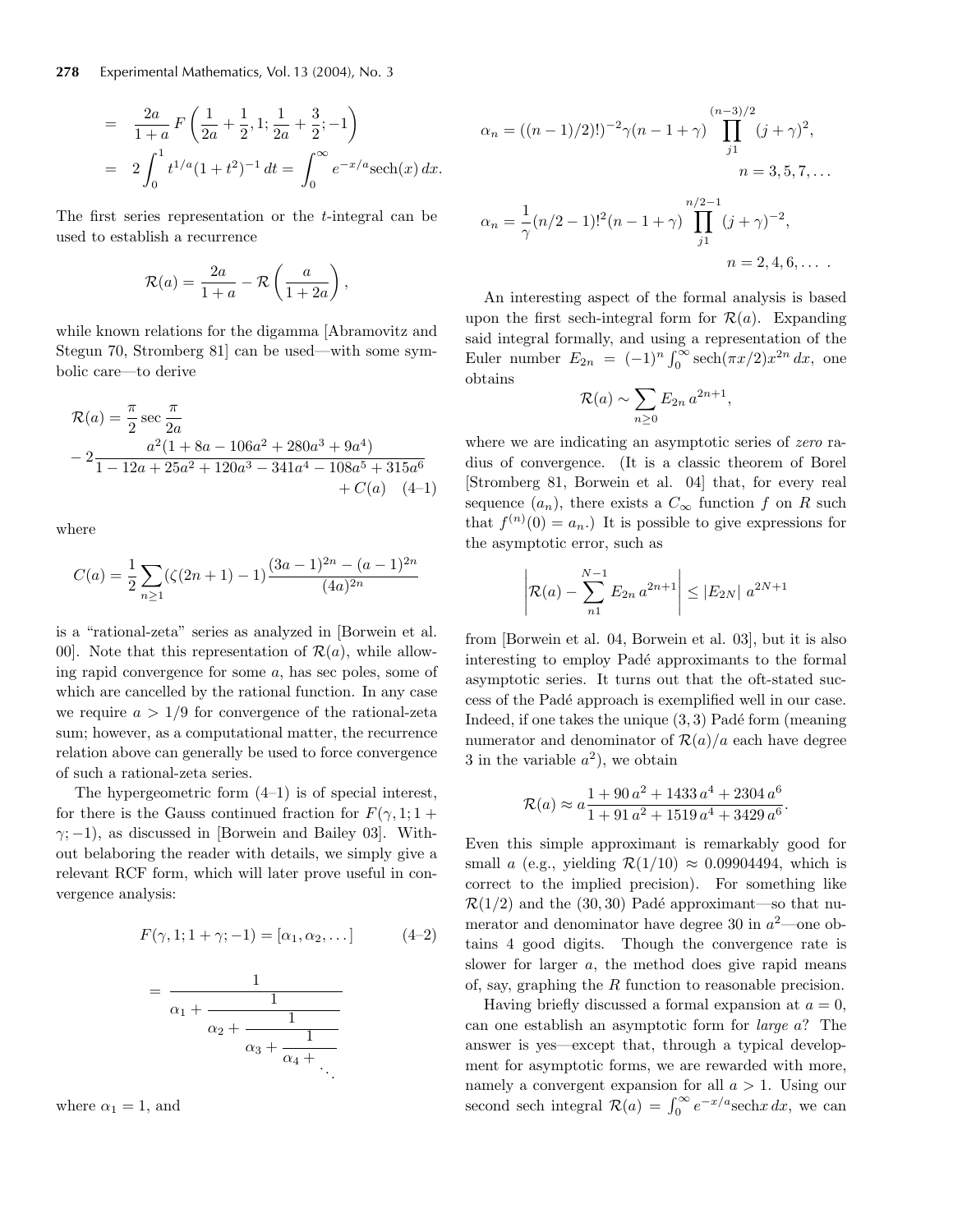$$
= \frac{2a}{1+a} F\left(\frac{1}{2a} + \frac{1}{2}, 1; \frac{1}{2a} + \frac{3}{2}; -1\right)
$$
  
=  $2 \int_0^1 t^{1/a} (1+t^2)^{-1} dt = \int_0^\infty e^{-x/a} \mathrm{sech}(x) dx.$ 

The first series representation or the t-integral can be used to establish a recurrence

$$
\mathcal{R}(a) = \frac{2a}{1+a} - \mathcal{R}\left(\frac{a}{1+2a}\right),\,
$$

while known relations for the digamma [Abramovitz and Stegun 70, Stromberg 81] can be used—with some symbolic care—to derive

$$
\mathcal{R}(a) = \frac{\pi}{2} \sec \frac{\pi}{2a}
$$
  
- 2\frac{a^2(1 + 8a - 106a^2 + 280a^3 + 9a^4)}{1 - 12a + 25a^2 + 120a^3 - 341a^4 - 108a^5 + 315a^6} + C(a) (4-1)

where

$$
C(a) = \frac{1}{2} \sum_{n \ge 1} (\zeta(2n+1) - 1) \frac{(3a-1)^{2n} - (a-1)^{2n}}{(4a)^{2n}}
$$

is a "rational-zeta" series as analyzed in [Borwein et al. 00. Note that this representation of  $\mathcal{R}(a)$ , while allowing rapid convergence for some a, has sec poles, some of which are cancelled by the rational function. In any case we require  $a > 1/9$  for convergence of the rational-zeta sum; however, as a computational matter, the recurrence relation above can generally be used to force convergence of such a rational-zeta series.

The hypergeometric form (4–1) is of special interest, for there is the Gauss continued fraction for  $F(\gamma, 1; 1 +$  $\gamma$ ; -1), as discussed in [Borwein and Bailey 03]. Without belaboring the reader with details, we simply give a relevant RCF form, which will later prove useful in convergence analysis:

$$
F(\gamma, 1; 1 + \gamma; -1) = [\alpha_1, \alpha_2, \dots] \tag{4-2}
$$

$$
=\frac{1}{\alpha_1+\cfrac{1}{\alpha_2+\cfrac{1}{\alpha_3+\cfrac{1}{\alpha_4+\cdots}}}}
$$

where  $\alpha_1 = 1$ , and

$$
\alpha_n = ((n-1)/2)!)^{-2} \gamma (n-1+\gamma) \prod_{j=1}^{(n-3)/2} (j+\gamma)^2,
$$
  
\n
$$
n = 3, 5, 7, ...
$$
  
\n
$$
\alpha_n = \frac{1}{\gamma} (n/2 - 1)!^2 (n - 1 + \gamma) \prod_{j=1}^{(n-3)/2} (j+\gamma)^{-2},
$$
  
\n
$$
n = 2, 4, 6, ...
$$

An interesting aspect of the formal analysis is based upon the first sech-integral form for  $\mathcal{R}(a)$ . Expanding said integral formally, and using a representation of the Euler number  $E_{2n} = (-1)^n \int_0^\infty \operatorname{sech}(\pi x/2) x^{2n} dx$ , one obtains

$$
\mathcal{R}(a) \sim \sum_{n\geq 0} E_{2n} a^{2n+1},
$$

where we are indicating an asymptotic series of *zero* radius of convergence. (It is a classic theorem of Borel [Stromberg 81, Borwein et al. 04] that, for every real sequence  $(a_n)$ , there exists a  $C_{\infty}$  function f on R such that  $f^{(n)}(0) = a_n$ . It is possible to give expressions for the asymptotic error, such as

$$
\left| \mathcal{R}(a) - \sum_{n=1}^{N-1} E_{2n} a^{2n+1} \right| \le |E_{2N}| a^{2N+1}
$$

from [Borwein et al. 04, Borwein et al. 03], but it is also interesting to employ Padé approximants to the formal asymptotic series. It turns out that the oft-stated success of the Padé approach is exemplified well in our case. Indeed, if one takes the unique  $(3, 3)$  Padé form (meaning numerator and denominator of  $\mathcal{R}(a)/a$  each have degree 3 in the variable  $a^2$ ), we obtain

$$
\mathcal{R}(a) \approx a \frac{1 + 90 a^2 + 1433 a^4 + 2304 a^6}{1 + 91 a^2 + 1519 a^4 + 3429 a^6}.
$$

Even this simple approximant is remarkably good for small a (e.g., yielding  $\mathcal{R}(1/10) \approx 0.09904494$ , which is correct to the implied precision). For something like  $\mathcal{R}(1/2)$  and the (30, 30) Padé approximant—so that numerator and denominator have degree 30 in  $a^2$ —one obtains 4 good digits. Though the convergence rate is slower for larger a, the method does give rapid means of, say, graphing the R function to reasonable precision.

Having briefly discussed a formal expansion at  $a = 0$ , can one establish an asymptotic form for *large* a? The answer is yes—except that, through a typical development for asymptotic forms, we are rewarded with more, namely a convergent expansion for all  $a > 1$ . Using our second sech integral  $\mathcal{R}(a) = \int_0^\infty e^{-x/a} \text{sech}x \, dx$ , we can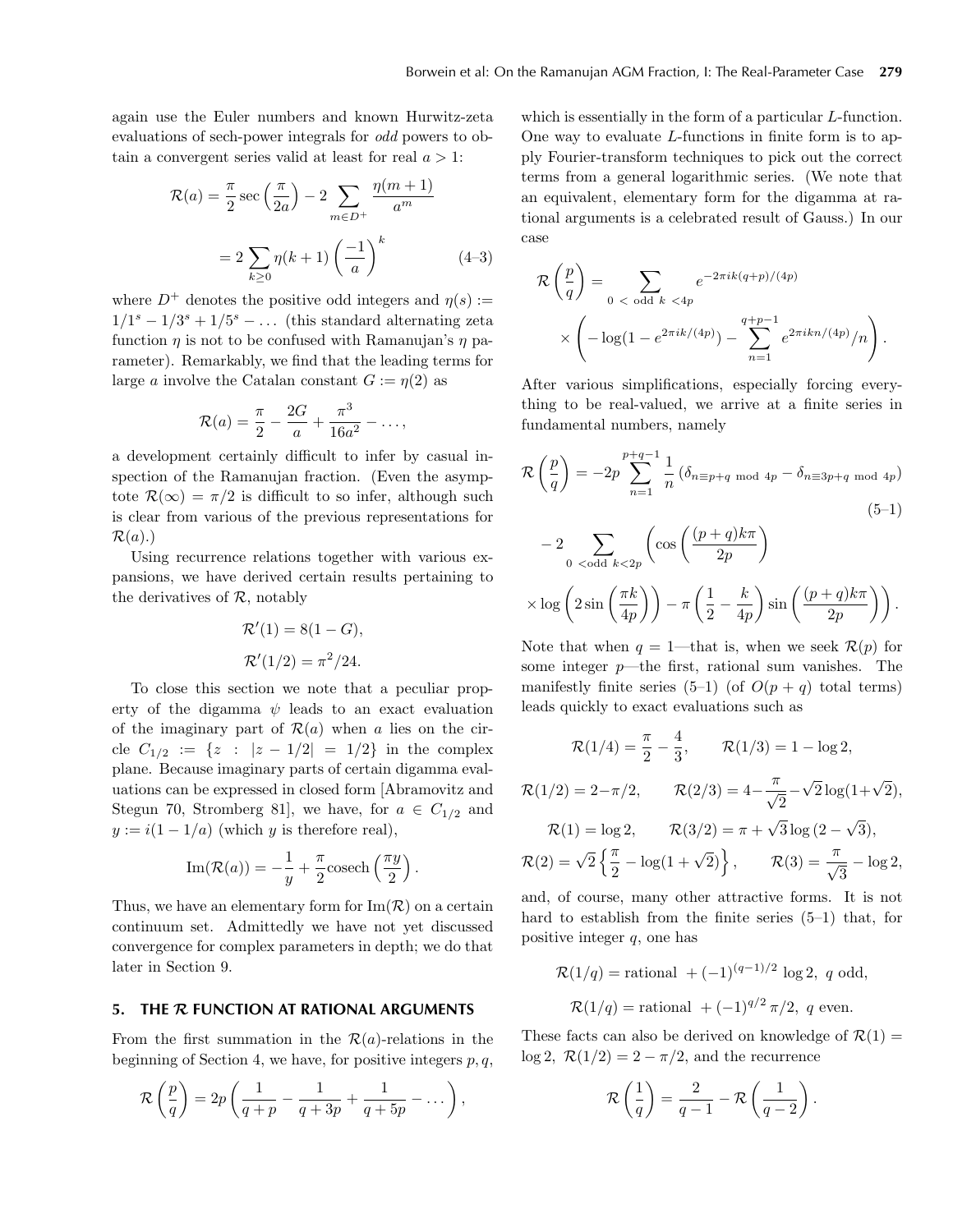again use the Euler numbers and known Hurwitz-zeta evaluations of sech-power integrals for *odd* powers to obtain a convergent series valid at least for real  $a > 1$ :

$$
\mathcal{R}(a) = \frac{\pi}{2} \sec\left(\frac{\pi}{2a}\right) - 2 \sum_{m \in D^{+}} \frac{\eta(m+1)}{a^m}
$$

$$
= 2 \sum_{k \ge 0} \eta(k+1) \left(\frac{-1}{a}\right)^k \tag{4-3}
$$

where  $D^+$  denotes the positive odd integers and  $\eta(s) :=$  $1/1<sup>s</sup> - 1/3<sup>s</sup> + 1/5<sup>s</sup> - \dots$  (this standard alternating zeta function  $\eta$  is not to be confused with Ramanujan's  $\eta$  parameter). Remarkably, we find that the leading terms for large a involve the Catalan constant  $G := \eta(2)$  as

$$
\mathcal{R}(a) = \frac{\pi}{2} - \frac{2G}{a} + \frac{\pi^3}{16a^2} - \dots,
$$

a development certainly difficult to infer by casual inspection of the Ramanujan fraction. (Even the asymptote  $\mathcal{R}(\infty) = \pi/2$  is difficult to so infer, although such is clear from various of the previous representations for  $\mathcal{R}(a)$ .)

Using recurrence relations together with various expansions, we have derived certain results pertaining to the derivatives of  $R$ , notably

$$
\mathcal{R}'(1) = 8(1 - G),
$$
  

$$
\mathcal{R}'(1/2) = \pi^2/24.
$$

To close this section we note that a peculiar property of the digamma  $\psi$  leads to an exact evaluation of the imaginary part of  $\mathcal{R}(a)$  when a lies on the circle  $C_{1/2} := \{z : |z - 1/2| = 1/2\}$  in the complex plane. Because imaginary parts of certain digamma evaluations can be expressed in closed form [Abramovitz and Stegun 70, Stromberg 81, we have, for  $a \in C_{1/2}$  and  $y := i(1 - 1/a)$  (which y is therefore real),

Im(
$$
\mathcal{R}(a)
$$
) =  $-\frac{1}{y} + \frac{\pi}{2}$  cosech $\left(\frac{\pi y}{2}\right)$ .

Thus, we have an elementary form for  $\text{Im}(\mathcal{R})$  on a certain continuum set. Admittedly we have not yet discussed convergence for complex parameters in depth; we do that later in Section 9.

### **5. THE** *R* **FUNCTION AT RATIONAL ARGUMENTS**

From the first summation in the  $\mathcal{R}(a)$ -relations in the beginning of Section 4, we have, for positive integers  $p, q$ ,

$$
\mathcal{R}\left(\frac{p}{q}\right) = 2p\left(\frac{1}{q+p} - \frac{1}{q+3p} + \frac{1}{q+5p} - \dots\right),\,
$$

which is essentially in the form of a particular *L*-function. One way to evaluate L-functions in finite form is to apply Fourier-transform techniques to pick out the correct terms from a general logarithmic series. (We note that an equivalent, elementary form for the digamma at rational arguments is a celebrated result of Gauss.) In our case

$$
\mathcal{R}\left(\frac{p}{q}\right) = \sum_{0 < \text{ odd } k < 4p} e^{-2\pi i k (q+p)/(4p)} \\
\times \left(-\log(1 - e^{2\pi i k/(4p)}) - \sum_{n=1}^{q+p-1} e^{2\pi i k n/(4p)}/n\right).
$$

After various simplifications, especially forcing everything to be real-valued, we arrive at a finite series in fundamental numbers, namely

$$
\mathcal{R}\left(\frac{p}{q}\right) = -2p \sum_{n=1}^{p+q-1} \frac{1}{n} \left(\delta_{n \equiv p+q \mod 4p} - \delta_{n \equiv 3p+q \mod 4p}\right)
$$
\n(5-1)

$$
-2\sum_{0 < \text{odd } k < 2p} \left( \cos \left( \frac{(p+q)k\pi}{2p} \right) \times \log \left( 2\sin \left( \frac{\pi k}{4p} \right) \right) - \pi \left( \frac{1}{2} - \frac{k}{4p} \right) \sin \left( \frac{(p+q)k\pi}{2p} \right) \right).
$$

Note that when  $q = 1$ —that is, when we seek  $\mathcal{R}(p)$  for some integer  $p$ —the first, rational sum vanishes. The manifestly finite series  $(5-1)$  (of  $O(p + q)$ ) total terms) leads quickly to exact evaluations such as

$$
\mathcal{R}(1/4) = \frac{\pi}{2} - \frac{4}{3}, \qquad \mathcal{R}(1/3) = 1 - \log 2,
$$
  

$$
\mathcal{R}(1/2) = 2 - \pi/2, \qquad \mathcal{R}(2/3) = 4 - \frac{\pi}{\sqrt{2}} - \sqrt{2}\log(1+\sqrt{2}),
$$
  

$$
\mathcal{R}(1) = \log 2, \qquad \mathcal{R}(3/2) = \pi + \sqrt{3}\log(2-\sqrt{3}),
$$
  

$$
\mathcal{R}(2) = \sqrt{2}\left\{\frac{\pi}{2} - \log(1+\sqrt{2})\right\}, \qquad \mathcal{R}(3) = \frac{\pi}{\sqrt{3}} - \log 2,
$$
  
and, of course, many other attractive forms. It is not

hard to establish from the finite series (5–1) that, for positive integer  $q$ , one has

$$
\mathcal{R}(1/q) = \text{rational } + (-1)^{(q-1)/2} \log 2, \ q \text{ odd},
$$
  

$$
\mathcal{R}(1/q) = \text{rational } + (-1)^{q/2} \pi/2, \ q \text{ even}.
$$

These facts can also be derived on knowledge of  $\mathcal{R}(1) =$  $\log 2$ ,  $\mathcal{R}(1/2) = 2 - \pi/2$ , and the recurrence

$$
\mathcal{R}\left(\frac{1}{q}\right) = \frac{2}{q-1} - \mathcal{R}\left(\frac{1}{q-2}\right)
$$

.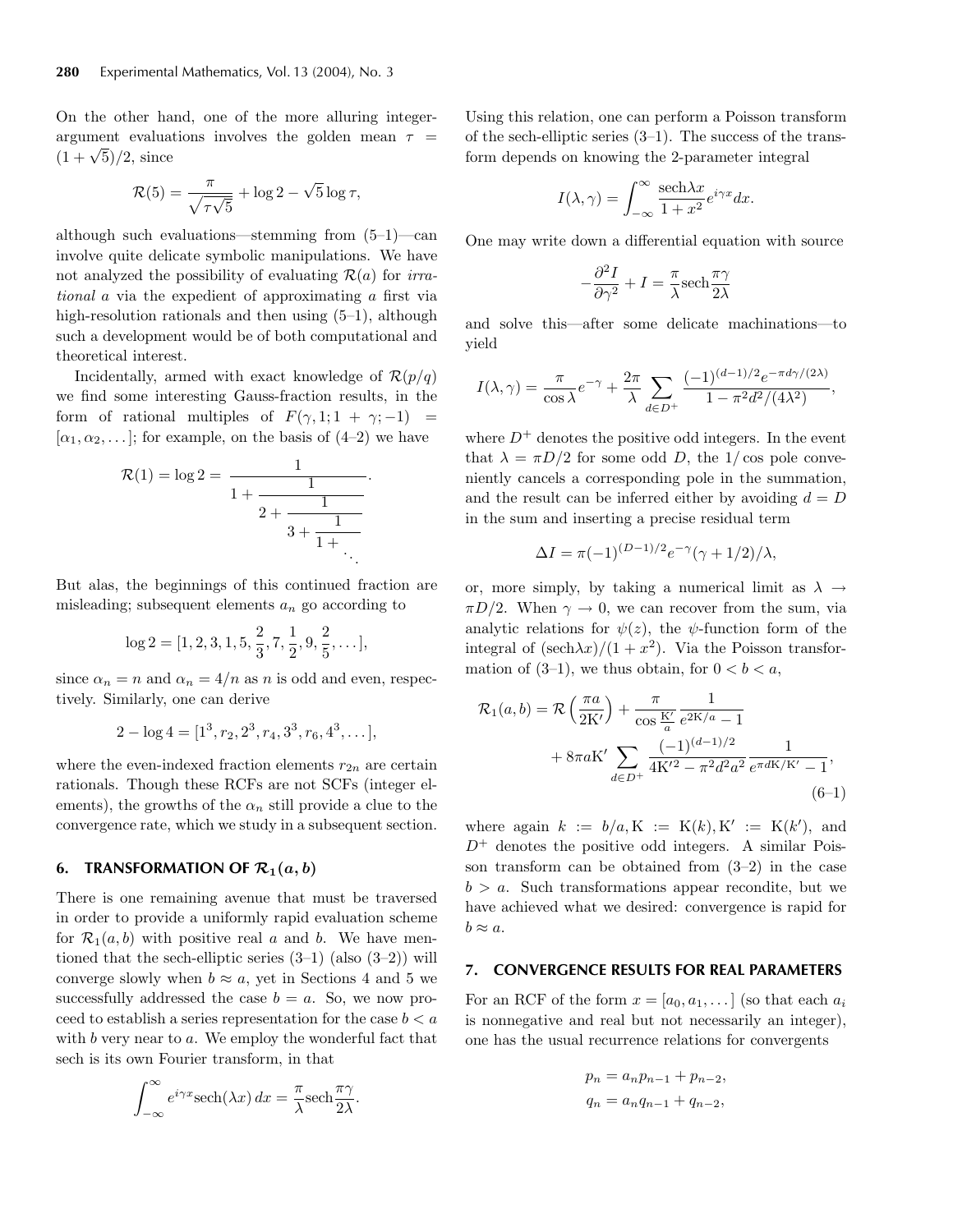On the other hand, one of the more alluring integerargument evaluations involves the golden mean  $\tau =$  $(1 + \sqrt{5})/2$ , since

$$
\mathcal{R}(5) = \frac{\pi}{\sqrt{\tau\sqrt{5}}} + \log 2 - \sqrt{5}\log \tau,
$$

although such evaluations—stemming from (5–1)—can involve quite delicate symbolic manipulations. We have not analyzed the possibility of evaluating  $\mathcal{R}(a)$  for *irrational* a via the expedient of approximating a first via high-resolution rationals and then using  $(5-1)$ , although such a development would be of both computational and theoretical interest.

Incidentally, armed with exact knowledge of  $\mathcal{R}(p/q)$ we find some interesting Gauss-fraction results, in the form of rational multiples of  $F(\gamma, 1; 1 + \gamma; -1) =$  $[\alpha_1, \alpha_2, \ldots]$ ; for example, on the basis of  $(4-2)$  we have

$$
\mathcal{R}(1) = \log 2 = \cfrac{1}{1 + \cfrac{1}{2 + \cfrac{1}{3 + \cfrac{1}{1 + \ddots}}}}.
$$

But alas, the beginnings of this continued fraction are misleading; subsequent elements  $a_n$  go according to

$$
\log 2=[1,2,3,1,5,\frac{2}{3},7,\frac{1}{2},9,\frac{2}{5},\dots],
$$

since  $\alpha_n = n$  and  $\alpha_n = 4/n$  as n is odd and even, respectively. Similarly, one can derive

$$
2 - \log 4 = [1^3, r_2, 2^3, r_4, 3^3, r_6, 4^3, \dots],
$$

where the even-indexed fraction elements  $r_{2n}$  are certain rationals. Though these RCFs are not SCFs (integer elements), the growths of the  $\alpha_n$  still provide a clue to the convergence rate, which we study in a subsequent section.

## **6. TRANSFORMATION OF**  $\mathcal{R}_1(a, b)$

There is one remaining avenue that must be traversed in order to provide a uniformly rapid evaluation scheme for  $\mathcal{R}_1(a, b)$  with positive real a and b. We have mentioned that the sech-elliptic series  $(3-1)$  (also  $(3-2)$ ) will converge slowly when  $b \approx a$ , yet in Sections 4 and 5 we successfully addressed the case  $b = a$ . So, we now proceed to establish a series representation for the case  $b < a$ with  $b$  very near to  $a$ . We employ the wonderful fact that sech is its own Fourier transform, in that

$$
\int_{-\infty}^{\infty} e^{i\gamma x} \mathrm{sech}(\lambda x) \, dx = \frac{\pi}{\lambda} \mathrm{sech} \frac{\pi \gamma}{2\lambda}.
$$

Using this relation, one can perform a Poisson transform of the sech-elliptic series  $(3-1)$ . The success of the transform depends on knowing the 2-parameter integral

$$
I(\lambda, \gamma) = \int_{-\infty}^{\infty} \frac{\text{sech}\lambda x}{1 + x^2} e^{i\gamma x} dx.
$$

One may write down a differential equation with source

$$
-\frac{\partial^2 I}{\partial \gamma^2} + I = \frac{\pi}{\lambda} \text{sech} \frac{\pi \gamma}{2\lambda}
$$

and solve this—after some delicate machinations—to yield

$$
I(\lambda, \gamma) = \frac{\pi}{\cos \lambda} e^{-\gamma} + \frac{2\pi}{\lambda} \sum_{d \in D^{+}} \frac{(-1)^{(d-1)/2} e^{-\pi d \gamma/(2\lambda)}}{1 - \pi^{2} d^{2}/(4\lambda^{2})},
$$

where  $D^+$  denotes the positive odd integers. In the event that  $\lambda = \pi D/2$  for some odd D, the 1/cos pole conveniently cancels a corresponding pole in the summation, and the result can be inferred either by avoiding  $d = D$ in the sum and inserting a precise residual term

$$
\Delta I = \pi(-1)^{(D-1)/2} e^{-\gamma} (\gamma + 1/2) / \lambda,
$$

or, more simply, by taking a numerical limit as  $\lambda \rightarrow$  $\pi D/2$ . When  $\gamma \to 0$ , we can recover from the sum, via analytic relations for  $\psi(z)$ , the  $\psi$ -function form of the integral of  $(\text{sech}\lambda x)/(1+x^2)$ . Via the Poisson transformation of  $(3-1)$ , we thus obtain, for  $0 < b < a$ ,

$$
\mathcal{R}_1(a,b) = \mathcal{R}\left(\frac{\pi a}{2K'}\right) + \frac{\pi}{\cos\frac{K'}{a}} \frac{1}{e^{2K/a} - 1} + 8\pi aK' \sum_{d \in D^+} \frac{(-1)^{(d-1)/2}}{4K'^2 - \pi^2 d^2 a^2} \frac{1}{e^{\pi dK/K'} - 1},\tag{6-1}
$$

where again  $k := b/a, K := K(k), K' := K(k'),$  and  $D^+$  denotes the positive odd integers. A similar Poisson transform can be obtained from (3–2) in the case  $b > a$ . Such transformations appear recondite, but we have achieved what we desired: convergence is rapid for  $b \approx a$ .

#### **7. CONVERGENCE RESULTS FOR REAL PARAMETERS**

For an RCF of the form  $x = [a_0, a_1, \dots]$  (so that each  $a_i$ ) is nonnegative and real but not necessarily an integer), one has the usual recurrence relations for convergents

$$
p_n = a_n p_{n-1} + p_{n-2},
$$
  

$$
q_n = a_n q_{n-1} + q_{n-2},
$$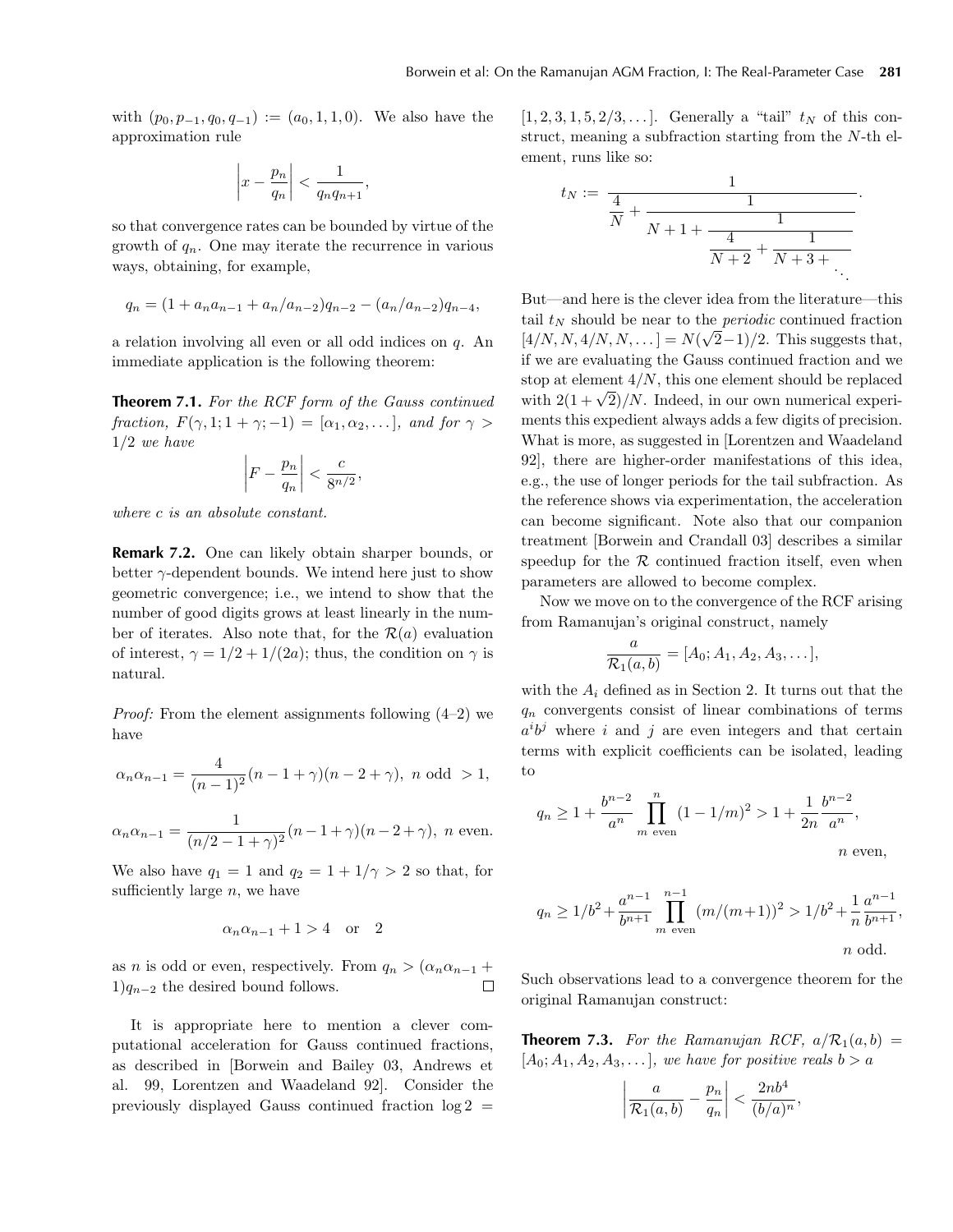with  $(p_0, p_{-1}, q_0, q_{-1}) := (a_0, 1, 1, 0)$ . We also have the approximation rule

$$
\left| x - \frac{p_n}{q_n} \right| < \frac{1}{q_n q_{n+1}},
$$

so that convergence rates can be bounded by virtue of the growth of  $q_n$ . One may iterate the recurrence in various ways, obtaining, for example,

$$
q_n = (1 + a_n a_{n-1} + a_n/a_{n-2})q_{n-2} - (a_n/a_{n-2})q_{n-4},
$$

a relation involving all even or all odd indices on q. An immediate application is the following theorem:

**Theorem 7.1.** *For the RCF form of the Gauss continued fraction,*  $F(\gamma, 1; 1 + \gamma; -1) = [\alpha_1, \alpha_2, \dots]$ *, and for*  $\gamma >$ 1/2 *we have*

$$
\left|F - \frac{p_n}{q_n}\right| < \frac{c}{8^{n/2}},
$$

*where* c *is an absolute constant.*

**Remark 7.2.** One can likely obtain sharper bounds, or better  $\gamma$ -dependent bounds. We intend here just to show geometric convergence; i.e., we intend to show that the number of good digits grows at least linearly in the number of iterates. Also note that, for the  $\mathcal{R}(a)$  evaluation of interest,  $\gamma = 1/2 + 1/(2a)$ ; thus, the condition on  $\gamma$  is natural.

*Proof:* From the element assignments following  $(4-2)$  we have

$$
\alpha_n \alpha_{n-1} = \frac{4}{(n-1)^2} (n-1+\gamma)(n-2+\gamma), \ n \text{ odd } > 1,
$$

$$
\alpha_n \alpha_{n-1} = \frac{1}{(n/2 - 1 + \gamma)^2} (n - 1 + \gamma)(n - 2 + \gamma), \quad n \text{ even.}
$$

We also have  $q_1 = 1$  and  $q_2 = 1 + 1/\gamma > 2$  so that, for sufficiently large  $n$ , we have

$$
\alpha_n \alpha_{n-1} + 1 > 4 \quad \text{or} \quad 2
$$

as *n* is odd or even, respectively. From  $q_n > (\alpha_n \alpha_{n-1} + 1)q_{n-2}$  the desired bound follows.  $1)q_{n-2}$  the desired bound follows.

It is appropriate here to mention a clever computational acceleration for Gauss continued fractions, as described in [Borwein and Bailey 03, Andrews et al. 99, Lorentzen and Waadeland 92]. Consider the previously displayed Gauss continued fraction  $log 2$ 

 $[1, 2, 3, 1, 5, 2/3, \ldots]$ . Generally a "tail"  $t_N$  of this construct, meaning a subfraction starting from the N-th element, runs like so:

$$
t_N := \frac{1}{\frac{4}{N} + \frac{1}{N+1 + \frac{1}{\frac{4}{N+2} + \frac{1}{N+3 + \dots}}}}.
$$

But—and here is the clever idea from the literature—this tail  $t_N$  should be near to the *periodic* continued fraction (4/N, N, 4/N, N, ...) =  $N(\sqrt{2}-1)/2$ . This suggests that, if we are evaluating the Gauss continued fraction and we stop at element  $4/N$ , this one element should be replaced with  $2(1+\sqrt{2})/N$ . Indeed, in our own numerical experiments this expedient always adds a few digits of precision. What is more, as suggested in [Lorentzen and Waadeland 92], there are higher-order manifestations of this idea, e.g., the use of longer periods for the tail subfraction. As the reference shows via experimentation, the acceleration can become significant. Note also that our companion treatment [Borwein and Crandall 03] describes a similar speedup for the  $R$  continued fraction itself, even when parameters are allowed to become complex.

Now we move on to the convergence of the RCF arising from Ramanujan's original construct, namely

$$
\frac{a}{\mathcal{R}_1(a,b)} = [A_0; A_1, A_2, A_3, \dots],
$$

with the  $A_i$  defined as in Section 2. It turns out that the  $q_n$  convergents consist of linear combinations of terms  $a^i b^j$  where i and j are even integers and that certain terms with explicit coefficients can be isolated, leading to

$$
q_n \ge 1 + \frac{b^{n-2}}{a^n} \prod_{m \text{ even}}^n (1 - 1/m)^2 > 1 + \frac{1}{2n} \frac{b^{n-2}}{a^n},
$$
  
*n* even,

$$
q_n \ge 1/b^2 + \frac{a^{n-1}}{b^{n+1}} \prod_{m \text{ even}}^{n-1} (m/(m+1))^2 > 1/b^2 + \frac{1}{n} \frac{a^{n-1}}{b^{n+1}},
$$
  
*n* odd.

Such observations lead to a convergence theorem for the original Ramanujan construct:

**Theorem 7.3.** For the Ramanujan RCF,  $a/R_1(a, b) =$  $[A_0; A_1, A_2, A_3, \ldots]$ *, we have for positive reals*  $b > a$ 

$$
\left|\frac{a}{\mathcal{R}_1(a,b)} - \frac{p_n}{q_n}\right| < \frac{2nb^4}{(b/a)^n},
$$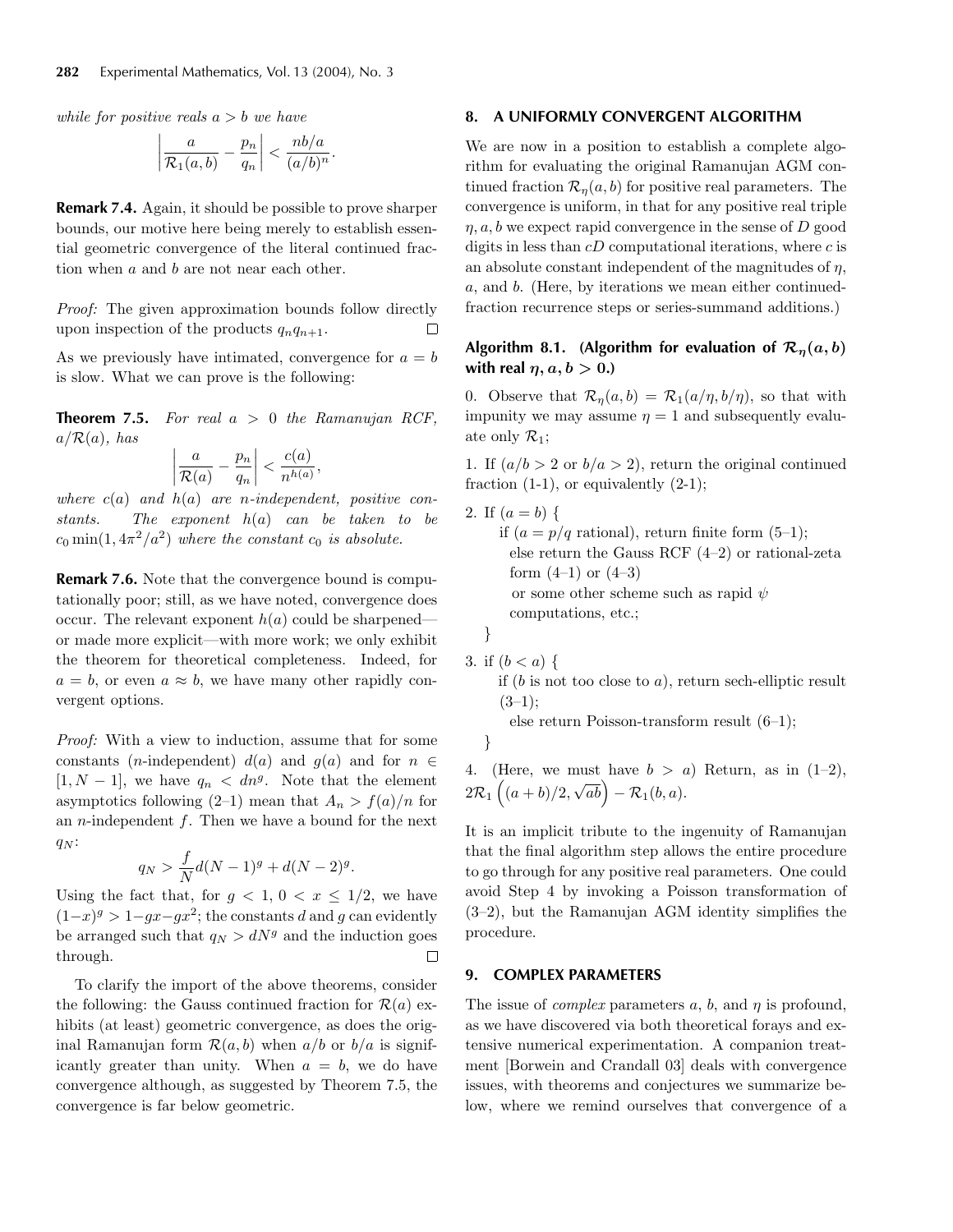*while for positive reals* a>b *we have*

$$
\left|\frac{a}{\mathcal{R}_1(a,b)} - \frac{p_n}{q_n}\right| < \frac{nb/a}{(a/b)^n}.
$$

**Remark 7.4.** Again, it should be possible to prove sharper bounds, our motive here being merely to establish essential geometric convergence of the literal continued fraction when a and b are not near each other.

*Proof:* The given approximation bounds follow directly upon inspection of the products  $q_nq_{n+1}$ . □

As we previously have intimated, convergence for  $a = b$ is slow. What we can prove is the following:

**Theorem 7.5.** *For real* a > 0 *the Ramanujan RCF,*  $a/R(a)$ *, has* 

$$
\left|\frac{a}{\mathcal{R}(a)} - \frac{p_n}{q_n}\right| < \frac{c(a)}{n^{h(a)}},
$$

*where* c(a) *and* h(a) *are* n*-independent, positive constants. The exponent* h(a) *can be taken to be*  $c_0$  min(1,  $4\pi^2/a^2$ ) *where the constant*  $c_0$  *is absolute.* 

**Remark 7.6.** Note that the convergence bound is computationally poor; still, as we have noted, convergence does occur. The relevant exponent  $h(a)$  could be sharpened or made more explicit—with more work; we only exhibit the theorem for theoretical completeness. Indeed, for  $a = b$ , or even  $a \approx b$ , we have many other rapidly convergent options.

*Proof:* With a view to induction, assume that for some constants (*n*-independent)  $d(a)$  and  $g(a)$  and for  $n \in$  $[1, N - 1]$ , we have  $q_n < dn^g$ . Note that the element asymptotics following (2–1) mean that  $A_n > f(a)/n$  for an *n*-independent  $f$ . Then we have a bound for the next  $q_N$ :

$$
q_N > \frac{f}{N}d(N-1)^g + d(N-2)^g.
$$

Using the fact that, for  $g < 1, 0 < x \leq 1/2$ , we have  $(1-x)^g > 1-gx-gx^2$ ; the constants d and g can evidently be arranged such that  $q_N > dN<sup>g</sup>$  and the induction goes through.  $\Box$ 

To clarify the import of the above theorems, consider the following: the Gauss continued fraction for  $\mathcal{R}(a)$  exhibits (at least) geometric convergence, as does the original Ramanujan form  $\mathcal{R}(a, b)$  when  $a/b$  or  $b/a$  is significantly greater than unity. When  $a = b$ , we do have convergence although, as suggested by Theorem 7.5, the convergence is far below geometric.

### **8. A UNIFORMLY CONVERGENT ALGORITHM**

We are now in a position to establish a complete algorithm for evaluating the original Ramanujan AGM continued fraction  $\mathcal{R}_n(a, b)$  for positive real parameters. The convergence is uniform, in that for any positive real triple  $\eta$ ,  $a, b$  we expect rapid convergence in the sense of D good digits in less than  $cD$  computational iterations, where  $c$  is an absolute constant independent of the magnitudes of  $\eta$ , a, and b. (Here, by iterations we mean either continuedfraction recurrence steps or series-summand additions.)

# **Algorithm 8.1.** (Algorithm for evaluation of  $\mathcal{R}_n(a, b)$ **with real**  $\eta$ ,  $a, b > 0$ .)

0. Observe that  $\mathcal{R}_\eta(a, b) = \mathcal{R}_1(a/\eta, b/\eta)$ , so that with impunity we may assume  $\eta = 1$  and subsequently evaluate only  $\mathcal{R}_1$ ;

1. If  $(a/b > 2 \text{ or } b/a > 2)$ , return the original continued fraction  $(1-1)$ , or equivalently  $(2-1)$ ;

2. If  $(a = b) \{$ if  $(a = p/q \text{ rational})$ , return finite form  $(5-1)$ ; else return the Gauss RCF (4–2) or rational-zeta form  $(4-1)$  or  $(4-3)$ or some other scheme such as rapid  $\psi$ computations, etc.; }

3. if  $(b < a)$  {

if  $(b$  is not too close to a), return sech-elliptic result  $(3-1);$ 

else return Poisson-transform result (6–1);

}

4. (Here, we must have  $b > a$ ) Return, as in (1–2),  $2\mathcal{R}_1\left((a+b)/2\right)$  $\begin{pmatrix} \sqrt{ab} \\ \sqrt{ab} \end{pmatrix}$  –  $\mathcal{R}_1(b,a)$ .

It is an implicit tribute to the ingenuity of Ramanujan that the final algorithm step allows the entire procedure to go through for any positive real parameters. One could avoid Step 4 by invoking a Poisson transformation of (3–2), but the Ramanujan AGM identity simplifies the procedure.

## **9. COMPLEX PARAMETERS**

The issue of *complex* parameters  $a, b$ , and  $\eta$  is profound, as we have discovered via both theoretical forays and extensive numerical experimentation. A companion treatment [Borwein and Crandall 03] deals with convergence issues, with theorems and conjectures we summarize below, where we remind ourselves that convergence of a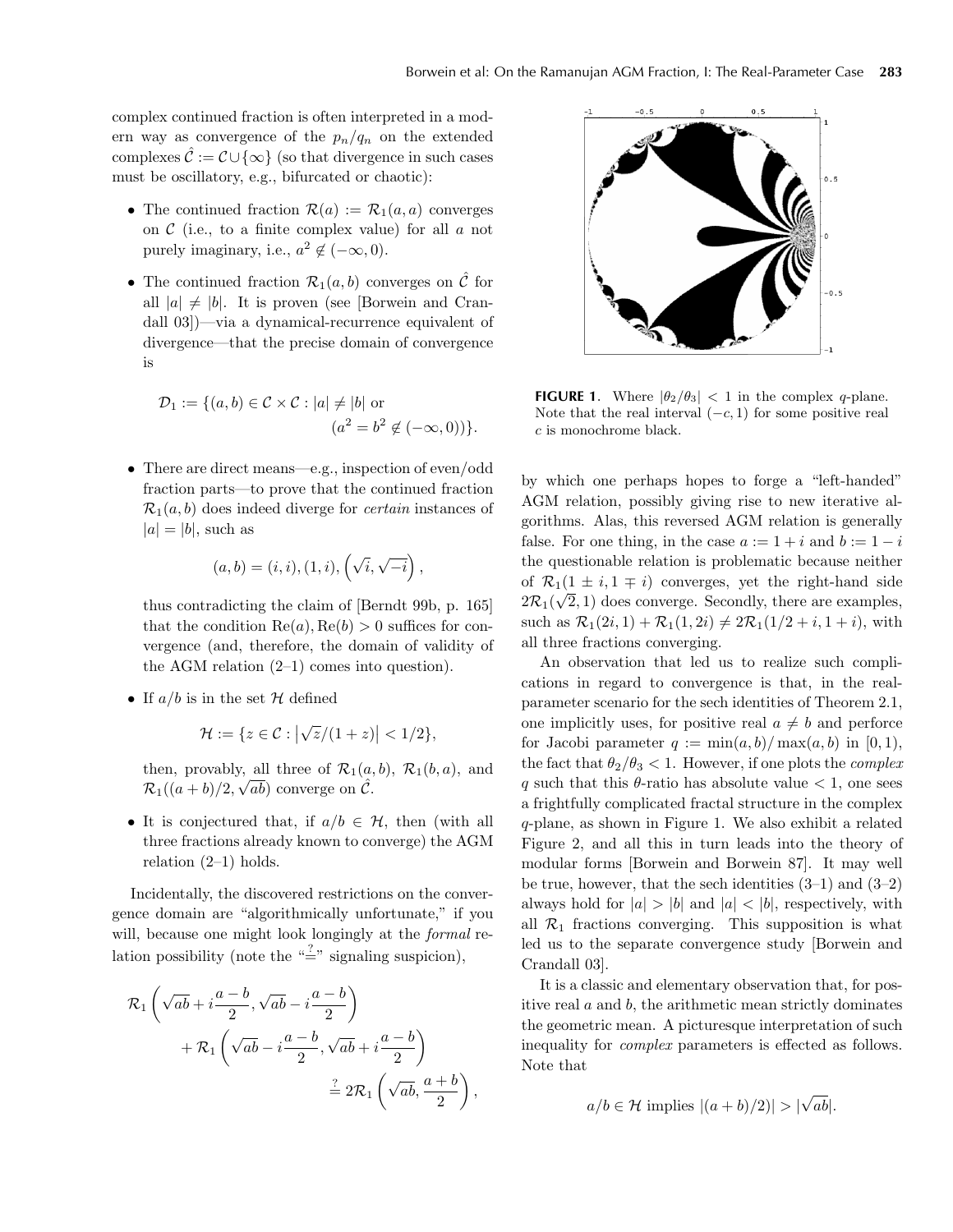complex continued fraction is often interpreted in a modern way as convergence of the  $p_n/q_n$  on the extended complexes  $\mathcal{C} := \mathcal{C} \cup \{\infty\}$  (so that divergence in such cases must be oscillatory, e.g., bifurcated or chaotic):

- The continued fraction  $\mathcal{R}(a) := \mathcal{R}_1(a, a)$  converges on  $\mathcal C$  (i.e., to a finite complex value) for all  $a$  not purely imaginary, i.e.,  $a^2 \notin (-\infty, 0)$ .
- The continued fraction  $\mathcal{R}_1(a, b)$  converges on  $\hat{\mathcal{C}}$  for all  $|a| \neq |b|$ . It is proven (see [Borwein and Crandall 03])—via a dynamical-recurrence equivalent of divergence—that the precise domain of convergence is

$$
\mathcal{D}_1 := \{ (a, b) \in \mathcal{C} \times \mathcal{C} : |a| \neq |b| \text{ or }
$$

$$
(a^2 = b^2 \notin (-\infty, 0)) \}.
$$

• There are direct means—e.g., inspection of even/odd fraction parts—to prove that the continued fraction  $\mathcal{R}_1(a, b)$  does indeed diverge for *certain* instances of  $|a| = |b|$ , such as

$$
(a, b) = (i, i), (1, i), (\sqrt{i}, \sqrt{-i}),
$$

thus contradicting the claim of [Berndt 99b, p. 165] that the condition  $\text{Re}(a), \text{Re}(b) > 0$  suffices for convergence (and, therefore, the domain of validity of the AGM relation (2–1) comes into question).

• If  $a/b$  is in the set H defined

$$
\mathcal{H} := \{ z \in \mathcal{C} : |\sqrt{z}/(1+z)| < 1/2 \},\
$$

then, provably, all three of  $\mathcal{R}_1(a, b)$ ,  $\mathcal{R}_1(b, a)$ , and  $\mathcal{R}_1((a+b)/2, \sqrt{ab})$  converge on  $\hat{\mathcal{C}}$ .

• It is conjectured that, if  $a/b \in \mathcal{H}$ , then (with all three fractions already known to converge) the AGM relation  $(2-1)$  holds.

Incidentally, the discovered restrictions on the convergence domain are "algorithmically unfortunate," if you will, because one might look longingly at the *formal* relation possibility (note the " $\stackrel{?}{=}$ " signaling suspicion),

$$
\mathcal{R}_1\left(\sqrt{ab} + i\frac{a-b}{2}, \sqrt{ab} - i\frac{a-b}{2}\right) \n+ \mathcal{R}_1\left(\sqrt{ab} - i\frac{a-b}{2}, \sqrt{ab} + i\frac{a-b}{2}\right) \n= 2\mathcal{R}_1\left(\sqrt{ab}, \frac{a+b}{2}\right),
$$



**FIGURE 1.** Where  $|\theta_2/\theta_3| < 1$  in the complex q-plane. Note that the real interval  $(-c, 1)$  for some positive real c is monochrome black.

by which one perhaps hopes to forge a "left-handed" AGM relation, possibly giving rise to new iterative algorithms. Alas, this reversed AGM relation is generally false. For one thing, in the case  $a := 1 + i$  and  $b := 1 - i$ the questionable relation is problematic because neither of  $\mathcal{R}_1(1 \pm i, 1 \mp i)$  converges, yet the right-hand side or  $\mathcal{R}_1(1 \perp i, 1 + i)$  converges, yet the right-hand side  $2\mathcal{R}_1(\sqrt{2}, 1)$  does converge. Secondly, there are examples, such as  $\mathcal{R}_1(2i, 1) + \mathcal{R}_1(1, 2i) \neq 2\mathcal{R}_1(1/2 + i, 1 + i)$ , with all three fractions converging.

An observation that led us to realize such complications in regard to convergence is that, in the realparameter scenario for the sech identities of Theorem 2.1, one implicitly uses, for positive real  $a \neq b$  and perforce for Jacobi parameter  $q := \min(a, b) / \max(a, b)$  in [0, 1], the fact that  $\theta_2/\theta_3 < 1$ . However, if one plots the *complex* q such that this  $\theta$ -ratio has absolute value  $\lt 1$ , one sees a frightfully complicated fractal structure in the complex q-plane, as shown in Figure 1. We also exhibit a related Figure 2, and all this in turn leads into the theory of modular forms [Borwein and Borwein 87]. It may well be true, however, that the sech identities  $(3-1)$  and  $(3-2)$ always hold for  $|a| > |b|$  and  $|a| < |b|$ , respectively, with all  $\mathcal{R}_1$  fractions converging. This supposition is what led us to the separate convergence study [Borwein and Crandall 03].

It is a classic and elementary observation that, for positive real  $a$  and  $b$ , the arithmetic mean strictly dominates the geometric mean. A picturesque interpretation of such inequality for *complex* parameters is effected as follows. Note that

$$
a/b \in \mathcal{H}
$$
 implies  $|(a+b)/2)| > |\sqrt{ab}|$ .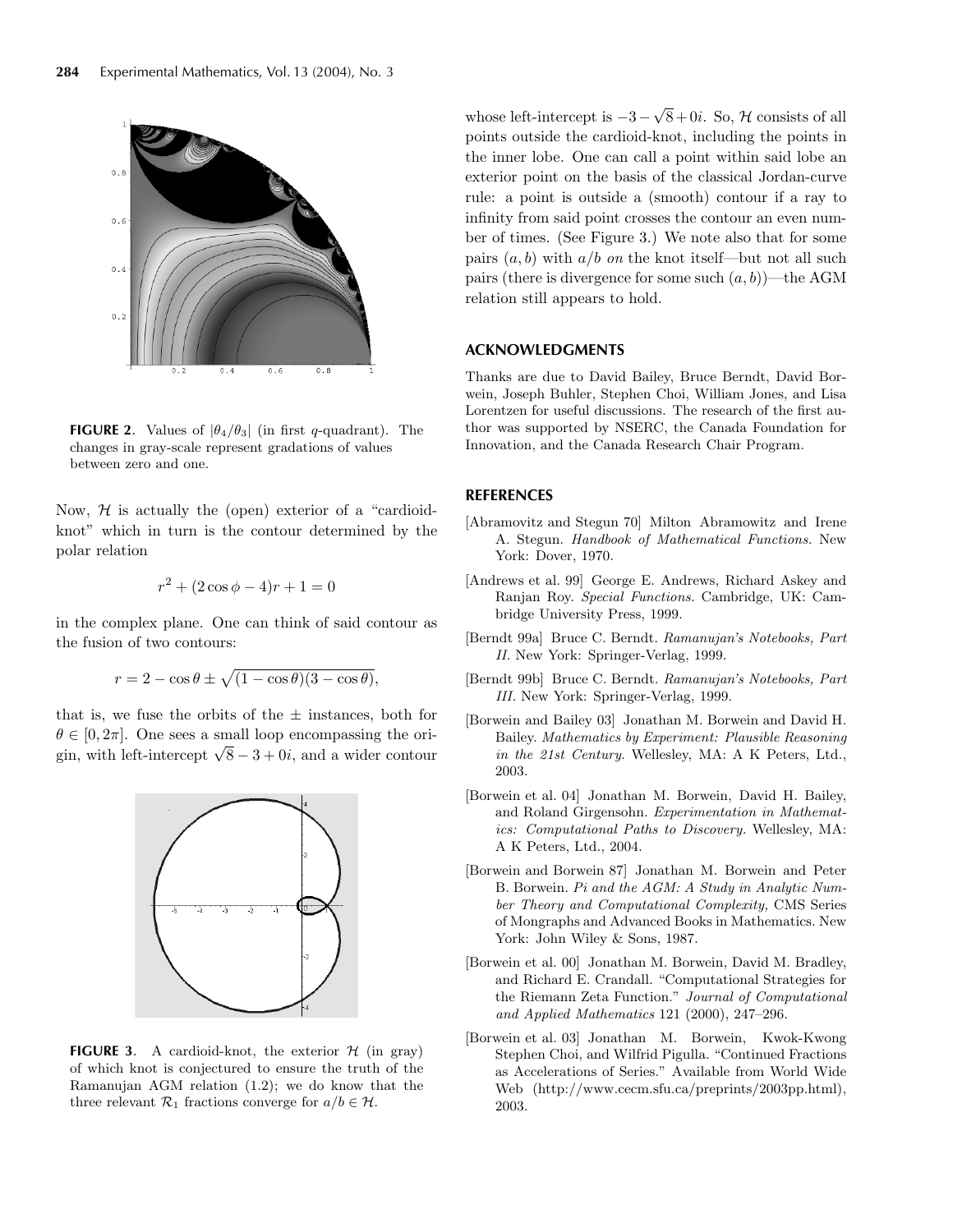

**FIGURE 2.** Values of  $|\theta_4/\theta_3|$  (in first q-quadrant). The changes in gray-scale represent gradations of values between zero and one.

Now,  $H$  is actually the (open) exterior of a "cardioidknot" which in turn is the contour determined by the polar relation

$$
r^2 + (2\cos\phi - 4)r + 1 = 0
$$

in the complex plane. One can think of said contour as the fusion of two contours:

$$
r = 2 - \cos \theta \pm \sqrt{(1 - \cos \theta)(3 - \cos \theta)},
$$

that is, we fuse the orbits of the  $\pm$  instances, both for  $\theta \in [0, 2\pi]$ . One sees a small loop encompassing the origin, with left-intercept  $\sqrt{8}-3+0i$ , and a wider contour



**FIGURE 3.** A cardioid-knot, the exterior  $H$  (in gray) of which knot is conjectured to ensure the truth of the Ramanujan AGM relation (1.2); we do know that the three relevant  $\mathcal{R}_1$  fractions converge for  $a/b \in \mathcal{H}$ .

whose left-intercept is  $-3-\sqrt{8}+0i$ . So, H consists of all points outside the cardioid-knot, including the points in the inner lobe. One can call a point within said lobe an exterior point on the basis of the classical Jordan-curve rule: a point is outside a (smooth) contour if a ray to infinity from said point crosses the contour an even number of times. (See Figure 3.) We note also that for some pairs  $(a, b)$  with  $a/b$  *on* the knot itself—but not all such pairs (there is divergence for some such  $(a, b)$ )—the AGM relation still appears to hold.

### **ACKNOWLEDGMENTS**

Thanks are due to David Bailey, Bruce Berndt, David Borwein, Joseph Buhler, Stephen Choi, William Jones, and Lisa Lorentzen for useful discussions. The research of the first author was supported by NSERC, the Canada Foundation for Innovation, and the Canada Research Chair Program.

#### **REFERENCES**

- [Abramovitz and Stegun 70] Milton Abramowitz and Irene A. Stegun. *Handbook of Mathematical Functions.* New York: Dover, 1970.
- [Andrews et al. 99] George E. Andrews, Richard Askey and Ranjan Roy. *Special Functions.* Cambridge, UK: Cambridge University Press, 1999.
- [Berndt 99a] Bruce C. Berndt. *Ramanujan's Notebooks, Part II.* New York: Springer-Verlag, 1999.
- [Berndt 99b] Bruce C. Berndt. *Ramanujan's Notebooks, Part III.* New York: Springer-Verlag, 1999.
- [Borwein and Bailey 03] Jonathan M. Borwein and David H. Bailey. *Mathematics by Experiment: Plausible Reasoning in the 21st Century.* Wellesley, MA: A K Peters, Ltd., 2003.
- [Borwein et al. 04] Jonathan M. Borwein, David H. Bailey, and Roland Girgensohn. *Experimentation in Mathematics: Computational Paths to Discovery.* Wellesley, MA: A K Peters, Ltd., 2004.
- [Borwein and Borwein 87] Jonathan M. Borwein and Peter B. Borwein. *Pi and the AGM: A Study in Analytic Number Theory and Computational Complexity,* CMS Series of Mongraphs and Advanced Books in Mathematics. New York: John Wiley & Sons, 1987.
- [Borwein et al. 00] Jonathan M. Borwein, David M. Bradley, and Richard E. Crandall. "Computational Strategies for the Riemann Zeta Function." *Journal of Computational and Applied Mathematics* 121 (2000), 247–296.
- [Borwein et al. 03] Jonathan M. Borwein, Kwok-Kwong Stephen Choi, and Wilfrid Pigulla. "Continued Fractions as Accelerations of Series." Available from World Wide Web (http://www.cecm.sfu.ca/preprints/2003pp.html), 2003.